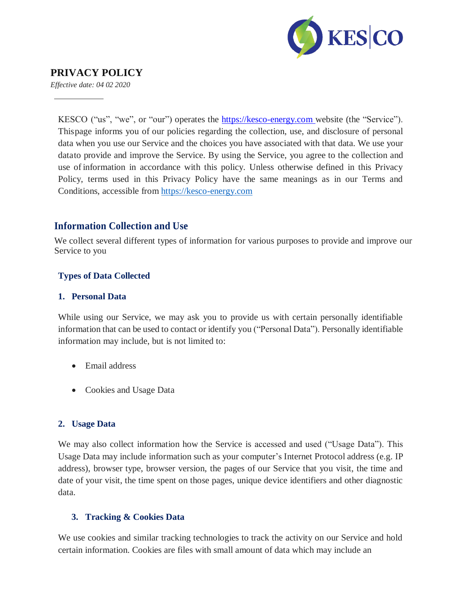

# **PRIVACY POLICY**

*Effective date: 04 02 2020*

KESCO ("us", "we", or "our") operates the https://kesco-energy.com website (the "Service"). Thispage informs you of our policies regarding the collection, use, and disclosure of personal data when you use our Service and the choices you have associated with that data. We use your datato provide and improve the Service. By using the Service, you agree to the collection and use of information in accordance with this policy. Unless otherwise defined in this Privacy Policy, terms used in this Privacy Policy have the same meanings as in our Terms and Conditions, accessible from https://kesco-energy.com

#### **Information Collection and Use**

We collect several different types of information for various purposes to provide and improve our Service to you

#### **Types of Data Collected**

#### **1. Personal Data**

While using our Service, we may ask you to provide us with certain personally identifiable information that can be used to contact or identify you ("Personal Data"). Personally identifiable information may include, but is not limited to:

- Email address
- Cookies and Usage Data

#### **2. Usage Data**

We may also collect information how the Service is accessed and used ("Usage Data"). This Usage Data may include information such as your computer's Internet Protocol address (e.g. IP address), browser type, browser version, the pages of our Service that you visit, the time and date of your visit, the time spent on those pages, unique device identifiers and other diagnostic data.

#### **3. Tracking & Cookies Data**

We use cookies and similar tracking technologies to track the activity on our Service and hold certain information. Cookies are files with small amount of data which may include an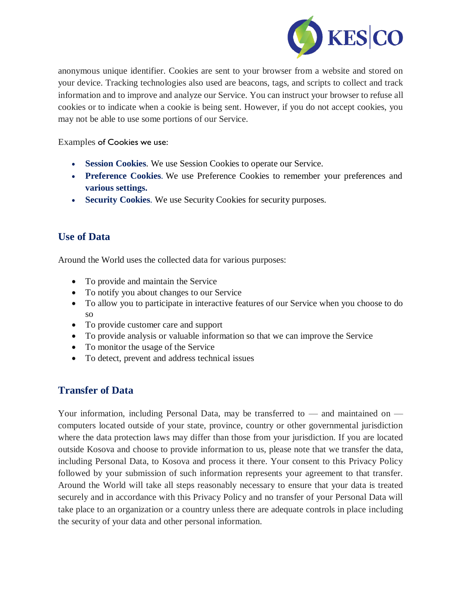

anonymous unique identifier. Cookies are sent to your browser from a website and stored on your device. Tracking technologies also used are beacons, tags, and scripts to collect and track information and to improve and analyze our Service. You can instruct your browser to refuse all cookies or to indicate when a cookie is being sent. However, if you do not accept cookies, you may not be able to use some portions of our Service.

Examples of Cookies we use:

- **Session Cookies**. We use Session Cookies to operate our Service.
- **Preference Cookies**. We use Preference Cookies to remember your preferences and **various settings.**
- **Security Cookies**. We use Security Cookies for security purposes.

### **Use of Data**

Around the World uses the collected data for various purposes:

- To provide and maintain the Service
- To notify you about changes to our Service
- To allow you to participate in interactive features of our Service when you choose to do so
- To provide customer care and support
- To provide analysis or valuable information so that we can improve the Service
- To monitor the usage of the Service
- To detect, prevent and address technical issues

### **Transfer of Data**

Your information, including Personal Data, may be transferred to — and maintained on computers located outside of your state, province, country or other governmental jurisdiction where the data protection laws may differ than those from your jurisdiction. If you are located outside Kosova and choose to provide information to us, please note that we transfer the data, including Personal Data, to Kosova and process it there. Your consent to this Privacy Policy followed by your submission of such information represents your agreement to that transfer. Around the World will take all steps reasonably necessary to ensure that your data is treated securely and in accordance with this Privacy Policy and no transfer of your Personal Data will take place to an organization or a country unless there are adequate controls in place including the security of your data and other personal information.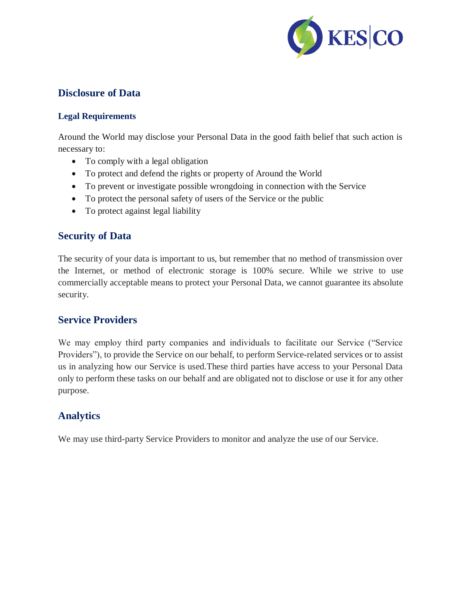

### **Disclosure of Data**

#### **Legal Requirements**

Around the World may disclose your Personal Data in the good faith belief that such action is necessary to:

- To comply with a legal obligation
- To protect and defend the rights or property of Around the World
- To prevent or investigate possible wrongdoing in connection with the Service
- To protect the personal safety of users of the Service or the public
- To protect against legal liability

## **Security of Data**

The security of your data is important to us, but remember that no method of transmission over the Internet, or method of electronic storage is 100% secure. While we strive to use commercially acceptable means to protect your Personal Data, we cannot guarantee its absolute security.

### **Service Providers**

We may employ third party companies and individuals to facilitate our Service ("Service Providers"), to provide the Service on our behalf, to perform Service-related services or to assist us in analyzing how our Service is used.These third parties have access to your Personal Data only to perform these tasks on our behalf and are obligated not to disclose or use it for any other purpose.

# **Analytics**

We may use third-party Service Providers to monitor and analyze the use of our Service.